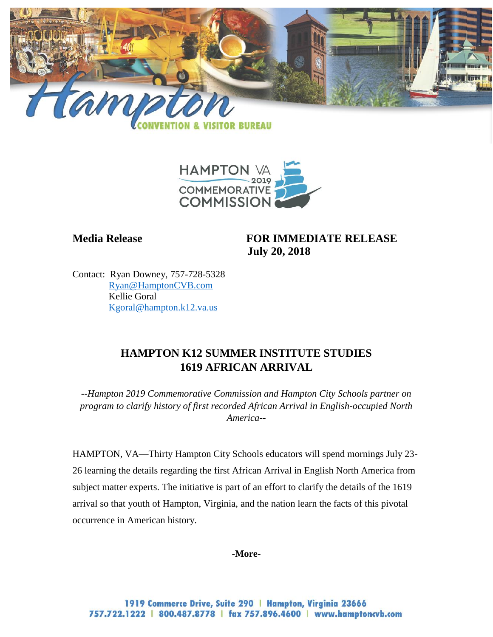



**Media Release FOR IMMEDIATE RELEASE July 20, 2018**

Contact: Ryan Downey, 757-728-5328 [Ryan@HamptonCVB.com](mailto:Ryan@HamptonCVB.com) Kellie Goral [Kgoral@hampton.k12.va.us](mailto:Kgoral@hampton.k12.va.us)

# **HAMPTON K12 SUMMER INSTITUTE STUDIES 1619 AFRICAN ARRIVAL**

*--Hampton 2019 Commemorative Commission and Hampton City Schools partner on program to clarify history of first recorded African Arrival in English-occupied North America--* 

HAMPTON, VA—Thirty Hampton City Schools educators will spend mornings July 23- 26 learning the details regarding the first African Arrival in English North America from subject matter experts. The initiative is part of an effort to clarify the details of the 1619 arrival so that youth of Hampton, Virginia, and the nation learn the facts of this pivotal occurrence in American history.

**-More-**

1919 Commerce Drive, Suite 290 | Hampton, Virginia 23666 757.722.1222 | 800.487.8778 | fax 757.896.4600 | www.hamptoncvb.com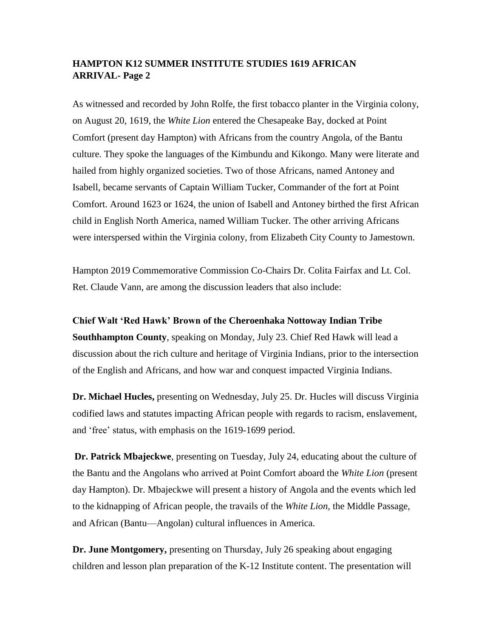### **HAMPTON K12 SUMMER INSTITUTE STUDIES 1619 AFRICAN ARRIVAL- Page 2**

As witnessed and recorded by John Rolfe, the first tobacco planter in the Virginia colony, on August 20, 1619, the *White Lion* entered the Chesapeake Bay, docked at Point Comfort (present day Hampton) with Africans from the country Angola, of the Bantu culture. They spoke the languages of the Kimbundu and Kikongo. Many were literate and hailed from highly organized societies. Two of those Africans, named Antoney and Isabell, became servants of Captain William Tucker, Commander of the fort at Point Comfort. Around 1623 or 1624, the union of Isabell and Antoney birthed the first African child in English North America, named William Tucker. The other arriving Africans were interspersed within the Virginia colony, from Elizabeth City County to Jamestown.

Hampton 2019 Commemorative Commission Co-Chairs Dr. Colita Fairfax and Lt. Col. Ret. Claude Vann, are among the discussion leaders that also include:

#### **Chief Walt 'Red Hawk' Brown of the Cheroenhaka Nottoway Indian Tribe**

**Southhampton County**, speaking on Monday, July 23. Chief Red Hawk will lead a discussion about the rich culture and heritage of Virginia Indians, prior to the intersection of the English and Africans, and how war and conquest impacted Virginia Indians.

**Dr. Michael Hucles,** presenting on Wednesday, July 25. Dr. Hucles will discuss Virginia codified laws and statutes impacting African people with regards to racism, enslavement, and 'free' status, with emphasis on the 1619-1699 period.

**Dr. Patrick Mbajeckwe**, presenting on Tuesday, July 24, educating about the culture of the Bantu and the Angolans who arrived at Point Comfort aboard the *White Lion* (present day Hampton). Dr. Mbajeckwe will present a history of Angola and the events which led to the kidnapping of African people, the travails of the *White Lion*, the Middle Passage, and African (Bantu—Angolan) cultural influences in America.

**Dr. June Montgomery,** presenting on Thursday, July 26 speaking about engaging children and lesson plan preparation of the K-12 Institute content. The presentation will